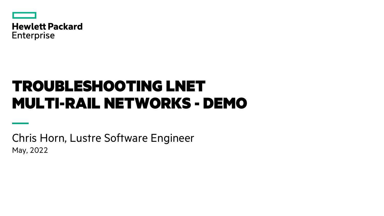

**Hewlett Packard** Enterprise

# TROUBLESHOOTING LNET MULTI-RAIL NETWORKS - DEMO

Chris Horn, Lustre Software Engineer May, 2022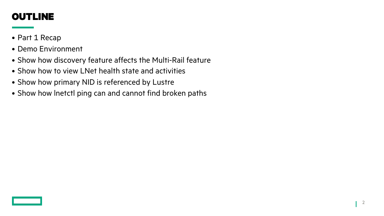#### OUTLINE

- Part 1 Recap
- Demo Environment
- Show how discovery feature affects the Multi-Rail feature
- Show how to view LNet health state and activities
- Show how primary NID is referenced by Lustre
- Show how lnetctl ping can and cannot find broken paths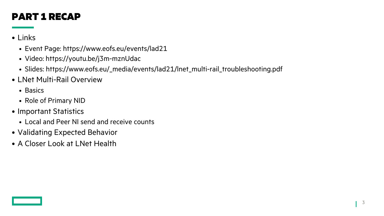### PART 1 RECAP

- Links
	- Event Page: https://www.eofs.eu/events/lad21
	- Video: https://youtu.be/j3m-mznUdac
	- Slides: https://www.eofs.eu/\_media/events/lad21/lnet\_multi-rail\_troubleshooting.pdf
- LNet Multi-Rail Overview
	- Basics
	- Role of Primary NID
- Important Statistics
	- Local and Peer NI send and receive counts
- Validating Expected Behavior
- A Closer Look at LNet Health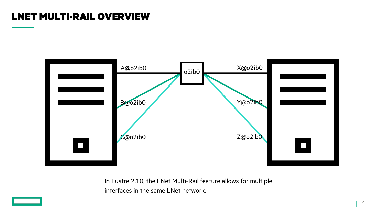#### LNET MULTI-RAIL OVERVIEW



In Lustre 2.10, the LNet Multi-Rail feature allows for multiple interfaces in the same LNet network.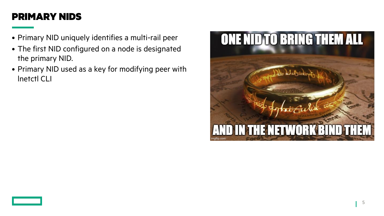## PRIMARY NIDS

- Primary NID uniquely identifies a multi-rail peer
- The first NID configured on a node is designated the primary NID.
- Primary NID used as a key for modifying peer with lnetctl CLI

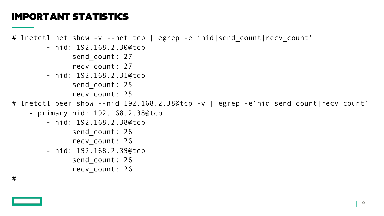#### IMPORTANT STATISTICS

```
# lnetctl net show -v --net tcp | egrep -e 'nid|send_count|recv_count'
        - nid: 192.168.2.30@tcp
              send_count: 27
              recv_count: 27
        - nid: 192.168.2.31@tcp
              send_count: 25
              recv_count: 25
# lnetctl peer show --nid 192.168.2.38@tcp -v | egrep -e'nid|send_count|recv_count'
    - primary nid: 192.168.2.38@tcp
        - nid: 192.168.2.38@tcp
              send_count: 26
              recv_count: 26
        - nid: 192.168.2.39@tcp
              send_count: 26
              recv_count: 26
```
#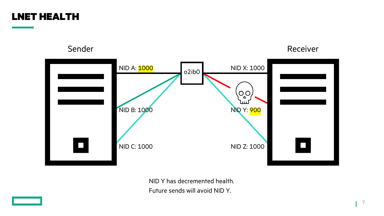#### LNET HEALTH



NID Y has decremented health. Future sends will avoid NID Y.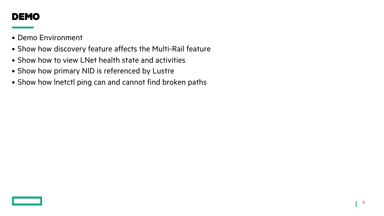

- Demo Environment
- Show how discovery feature affects the Multi-Rail feature
- Show how to view LNet health state and activities
- Show how primary NID is referenced by Lustre
- Show how lnetctl ping can and cannot find broken paths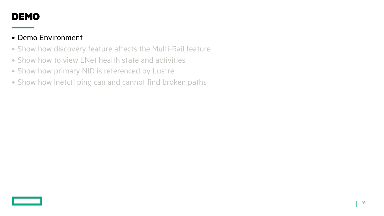

#### • Demo Environment

- Show how discovery feature affects the Multi-Rail feature
- Show how to view LNet health state and activities
- Show how primary NID is referenced by Lustre
- Show how lnetctl ping can and cannot find broken paths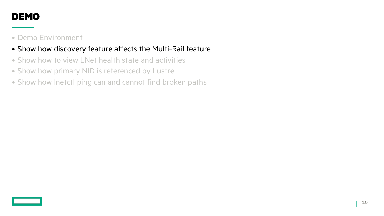

- Demo Environment
- Show how discovery feature affects the Multi-Rail feature
- Show how to view LNet health state and activities
- Show how primary NID is referenced by Lustre
- Show how lnetctl ping can and cannot find broken paths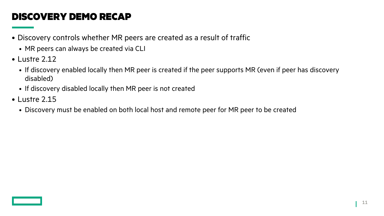# DISCOVERY DEMO RECAP

- Discovery controls whether MR peers are created as a result of traffic
	- MR peers can always be created via CLI
- Lustre 2.12
	- If discovery enabled locally then MR peer is created if the peer supports MR (even if peer has discovery disabled)
	- If discovery disabled locally then MR peer is not created
- Lustre 2.15
	- Discovery must be enabled on both local host and remote peer for MR peer to be created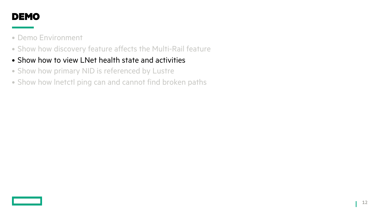

- Demo Environment
- Show how discovery feature affects the Multi-Rail feature
- Show how to view LNet health state and activities
- Show how primary NID is referenced by Lustre
- Show how lnetctl ping can and cannot find broken paths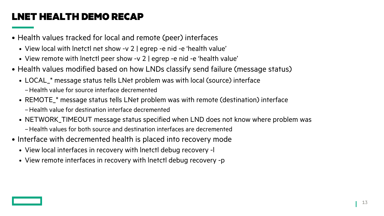# LNET HEALTH DEMO RECAP

- Health values tracked for local and remote (peer) interfaces
	- View local with lnetctl net show -v 2 | egrep -e nid -e 'health value'
	- View remote with lnetctl peer show -v 2 | egrep -e nid -e 'health value'
- Health values modified based on how LNDs classify send failure (message status)
	- LOCAL\_\* message status tells LNet problem was with local (source) interface
		- –Health value for source interface decremented
	- REMOTE\_\* message status tells LNet problem was with remote (destination) interface –Health value for destination interface decremented
	- NETWORK\_TIMEOUT message status specified when LND does not know where problem was –Health values for both source and destination interfaces are decremented
- Interface with decremented health is placed into recovery mode
	- View local interfaces in recovery with lnetctl debug recovery -l
	- View remote interfaces in recovery with lnetctl debug recovery -p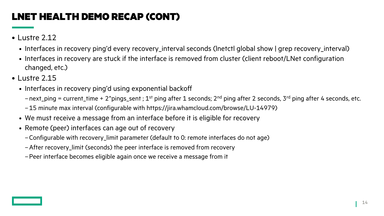# LNET HEALTH DEMO RECAP (CONT)

- Lustre 2.12
	- Interfaces in recovery ping'd every recovery\_interval seconds (lnetctl global show | grep recovery\_interval)
	- Interfaces in recovery are stuck if the interface is removed from cluster (client reboot/LNet configuration changed, etc.)
- Lustre 2.15
	- Interfaces in recovery ping'd using exponential backoff
		- next\_ping = current\_time + 2^pings\_sent ;  $1^{st}$  ping after 1 seconds;  $2^{nd}$  ping after 2 seconds,  $3^{rd}$  ping after 4 seconds, etc.
		- –15 minute max interval (configurable with https://jira.whamcloud.com/browse/LU-14979)
	- We must receive a message from an interface before it is eligible for recovery
	- Remote (peer) interfaces can age out of recovery
		- –Configurable with recovery\_limit parameter (default to 0: remote interfaces do not age)
		- –After recovery\_limit (seconds) the peer interface is removed from recovery
		- –Peer interface becomes eligible again once we receive a message from it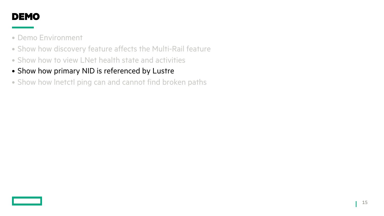

- Demo Environment
- Show how discovery feature affects the Multi-Rail feature
- Show how to view LNet health state and activities
- Show how primary NID is referenced by Lustre
- Show how lnetctl ping can and cannot find broken paths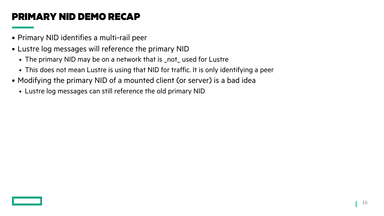## PRIMARY NID DEMO RECAP

- Primary NID identifies a multi-rail peer
- Lustre log messages will reference the primary NID
	- The primary NID may be on a network that is \_not\_ used for Lustre
	- This does not mean Lustre is using that NID for traffic. It is only identifying a peer
- Modifying the primary NID of a mounted client (or server) is a bad idea
	- Lustre log messages can still reference the old primary NID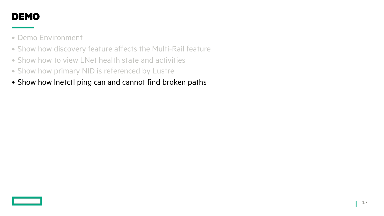

- Demo Environment
- Show how discovery feature affects the Multi-Rail feature
- Show how to view LNet health state and activities
- Show how primary NID is referenced by Lustre
- Show how lnetctl ping can and cannot find broken paths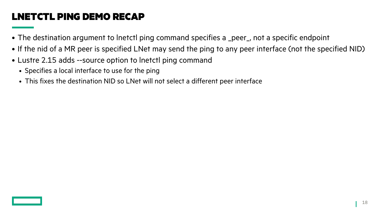# LNETCTL PING DEMO RECAP

- The destination argument to lnetctl ping command specifies a \_peer\_, not a specific endpoint
- If the nid of a MR peer is specified LNet may send the ping to any peer interface (not the specified NID)
- Lustre 2.15 adds --source option to lnetctl ping command
	- Specifies a local interface to use for the ping
	- This fixes the destination NID so LNet will not select a different peer interface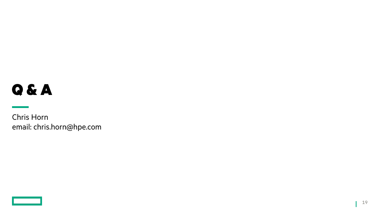# Q & A

Chris Horn email: chris.horn@hpe.com

П